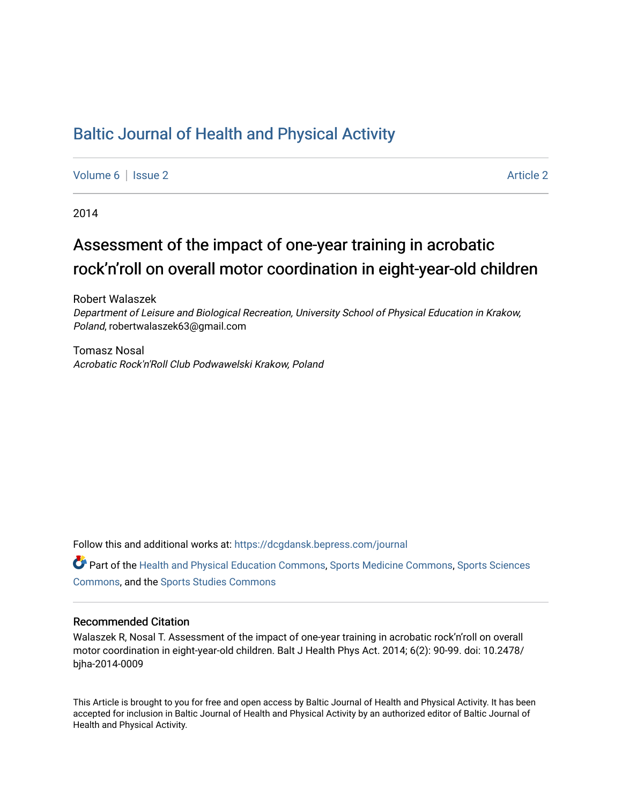## [Baltic Journal of Health and Physical Activity](https://dcgdansk.bepress.com/journal)

[Volume 6](https://dcgdansk.bepress.com/journal/vol6) | [Issue 2](https://dcgdansk.bepress.com/journal/vol6/iss2) Article 2

2014

# Assessment of the impact of one-year training in acrobatic rock'n'roll on overall motor coordination in eight-year-old children

Robert Walaszek Department of Leisure and Biological Recreation, University School of Physical Education in Krakow, Poland, robertwalaszek63@gmail.com

Tomasz Nosal Acrobatic Rock'n'Roll Club Podwawelski Krakow, Poland

Follow this and additional works at: [https://dcgdansk.bepress.com/journal](https://dcgdansk.bepress.com/journal?utm_source=dcgdansk.bepress.com%2Fjournal%2Fvol6%2Fiss2%2F2&utm_medium=PDF&utm_campaign=PDFCoverPages)

Part of the [Health and Physical Education Commons](http://network.bepress.com/hgg/discipline/1327?utm_source=dcgdansk.bepress.com%2Fjournal%2Fvol6%2Fiss2%2F2&utm_medium=PDF&utm_campaign=PDFCoverPages), [Sports Medicine Commons,](http://network.bepress.com/hgg/discipline/1331?utm_source=dcgdansk.bepress.com%2Fjournal%2Fvol6%2Fiss2%2F2&utm_medium=PDF&utm_campaign=PDFCoverPages) [Sports Sciences](http://network.bepress.com/hgg/discipline/759?utm_source=dcgdansk.bepress.com%2Fjournal%2Fvol6%2Fiss2%2F2&utm_medium=PDF&utm_campaign=PDFCoverPages) [Commons](http://network.bepress.com/hgg/discipline/759?utm_source=dcgdansk.bepress.com%2Fjournal%2Fvol6%2Fiss2%2F2&utm_medium=PDF&utm_campaign=PDFCoverPages), and the [Sports Studies Commons](http://network.bepress.com/hgg/discipline/1198?utm_source=dcgdansk.bepress.com%2Fjournal%2Fvol6%2Fiss2%2F2&utm_medium=PDF&utm_campaign=PDFCoverPages) 

#### Recommended Citation

Walaszek R, Nosal T. Assessment of the impact of one-year training in acrobatic rock'n'roll on overall motor coordination in eight-year-old children. Balt J Health Phys Act. 2014; 6(2): 90-99. doi: 10.2478/ bjha-2014-0009

This Article is brought to you for free and open access by Baltic Journal of Health and Physical Activity. It has been accepted for inclusion in Baltic Journal of Health and Physical Activity by an authorized editor of Baltic Journal of Health and Physical Activity.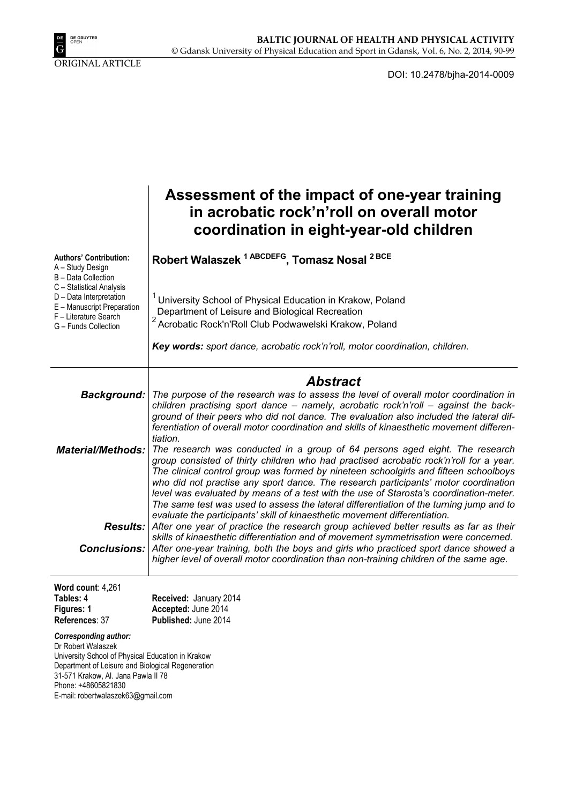

DOI: 10.2478/bjha-2014-0009

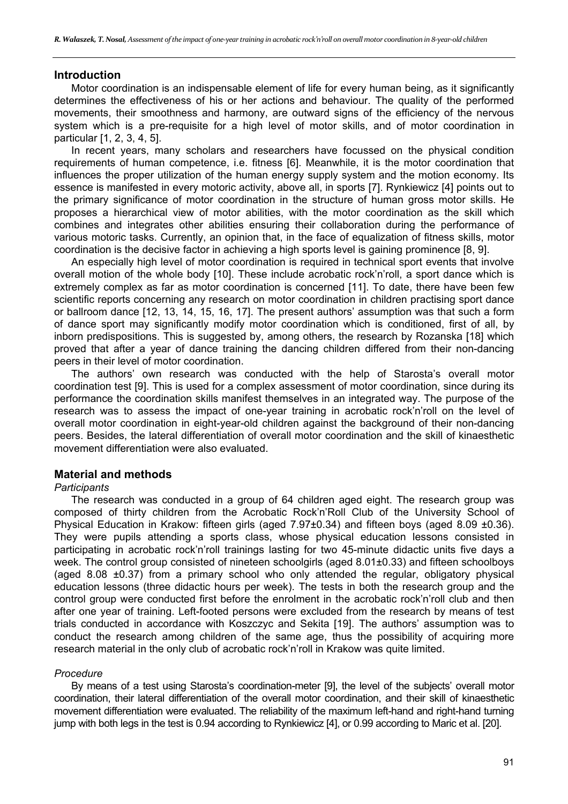#### **Introduction**

Motor coordination is an indispensable element of life for every human being, as it significantly determines the effectiveness of his or her actions and behaviour. The quality of the performed movements, their smoothness and harmony, are outward signs of the efficiency of the nervous system which is a pre-requisite for a high level of motor skills, and of motor coordination in particular [1, 2, 3, 4, 5].

In recent years, many scholars and researchers have focussed on the physical condition requirements of human competence, i.e. fitness [6]. Meanwhile, it is the motor coordination that influences the proper utilization of the human energy supply system and the motion economy. Its essence is manifested in every motoric activity, above all, in sports [7]. Rynkiewicz [4] points out to the primary significance of motor coordination in the structure of human gross motor skills. He proposes a hierarchical view of motor abilities, with the motor coordination as the skill which combines and integrates other abilities ensuring their collaboration during the performance of various motoric tasks. Currently, an opinion that, in the face of equalization of fitness skills, motor coordination is the decisive factor in achieving a high sports level is gaining prominence [8, 9].

An especially high level of motor coordination is required in technical sport events that involve overall motion of the whole body [10]. These include acrobatic rock'n'roll, a sport dance which is extremely complex as far as motor coordination is concerned [11]. To date, there have been few scientific reports concerning any research on motor coordination in children practising sport dance or ballroom dance [12, 13, 14, 15, 16, 17]. The present authors' assumption was that such a form of dance sport may significantly modify motor coordination which is conditioned, first of all, by inborn predispositions. This is suggested by, among others, the research by Rozanska [18] which proved that after a year of dance training the dancing children differed from their non-dancing peers in their level of motor coordination.

The authors' own research was conducted with the help of Starosta's overall motor coordination test [9]. This is used for a complex assessment of motor coordination, since during its performance the coordination skills manifest themselves in an integrated way. The purpose of the research was to assess the impact of one-year training in acrobatic rock'n'roll on the level of overall motor coordination in eight-year-old children against the background of their non-dancing peers. Besides, the lateral differentiation of overall motor coordination and the skill of kinaesthetic movement differentiation were also evaluated.

#### **Material and methods**

#### *Participants*

The research was conducted in a group of 64 children aged eight. The research group was composed of thirty children from the Acrobatic Rock'n'Roll Club of the University School of Physical Education in Krakow: fifteen girls (aged 7.97±0.34) and fifteen boys (aged 8.09 ±0.36). They were pupils attending a sports class, whose physical education lessons consisted in participating in acrobatic rock'n'roll trainings lasting for two 45-minute didactic units five days a week. The control group consisted of nineteen schoolgirls (aged 8.01±0.33) and fifteen schoolboys (aged 8.08 ±0.37) from a primary school who only attended the regular, obligatory physical education lessons (three didactic hours per week). The tests in both the research group and the control group were conducted first before the enrolment in the acrobatic rock'n'roll club and then after one year of training. Left-footed persons were excluded from the research by means of test trials conducted in accordance with Koszczyc and Sekita [19]. The authors' assumption was to conduct the research among children of the same age, thus the possibility of acquiring more research material in the only club of acrobatic rock'n'roll in Krakow was quite limited.

#### *Procedure*

By means of a test using Starosta's coordination-meter [9], the level of the subjects' overall motor coordination, their lateral differentiation of the overall motor coordination, and their skill of kinaesthetic movement differentiation were evaluated. The reliability of the maximum left-hand and right-hand turning jump with both legs in the test is 0.94 according to Rynkiewicz [4], or 0.99 according to Maric et al. [20].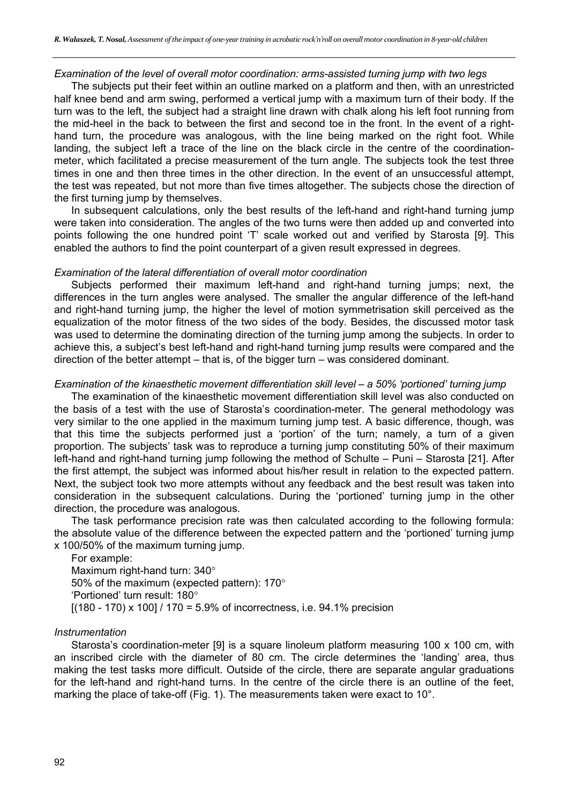#### *Examination of the level of overall motor coordination: arms-assisted turning jump with two legs*

The subjects put their feet within an outline marked on a platform and then, with an unrestricted half knee bend and arm swing, performed a vertical jump with a maximum turn of their body. If the turn was to the left, the subject had a straight line drawn with chalk along his left foot running from the mid-heel in the back to between the first and second toe in the front. In the event of a righthand turn, the procedure was analogous, with the line being marked on the right foot. While landing, the subject left a trace of the line on the black circle in the centre of the coordinationmeter, which facilitated a precise measurement of the turn angle. The subjects took the test three times in one and then three times in the other direction. In the event of an unsuccessful attempt, the test was repeated, but not more than five times altogether. The subjects chose the direction of the first turning jump by themselves.

In subsequent calculations, only the best results of the left-hand and right-hand turning jump were taken into consideration. The angles of the two turns were then added up and converted into points following the one hundred point 'T' scale worked out and verified by Starosta [9]. This enabled the authors to find the point counterpart of a given result expressed in degrees.

#### *Examination of the lateral differentiation of overall motor coordination*

Subjects performed their maximum left-hand and right-hand turning jumps; next, the differences in the turn angles were analysed. The smaller the angular difference of the left-hand and right-hand turning jump, the higher the level of motion symmetrisation skill perceived as the equalization of the motor fitness of the two sides of the body. Besides, the discussed motor task was used to determine the dominating direction of the turning jump among the subjects. In order to achieve this, a subject's best left-hand and right-hand turning jump results were compared and the direction of the better attempt – that is, of the bigger turn – was considered dominant.

#### *Examination of the kinaesthetic movement differentiation skill level – a 50% 'portioned' turning jump*

The examination of the kinaesthetic movement differentiation skill level was also conducted on the basis of a test with the use of Starosta's coordination-meter. The general methodology was very similar to the one applied in the maximum turning jump test. A basic difference, though, was that this time the subjects performed just a 'portion' of the turn; namely, a turn of a given proportion. The subjects' task was to reproduce a turning jump constituting 50% of their maximum left-hand and right-hand turning jump following the method of Schulte – Puni – Starosta [21]. After the first attempt, the subject was informed about his/her result in relation to the expected pattern. Next, the subject took two more attempts without any feedback and the best result was taken into consideration in the subsequent calculations. During the 'portioned' turning jump in the other direction, the procedure was analogous.

The task performance precision rate was then calculated according to the following formula: the absolute value of the difference between the expected pattern and the 'portioned' turning jump x 100/50% of the maximum turning jump.

For example: Maximum right-hand turn:  $340^\circ$ 50% of the maximum (expected pattern):  $170^\circ$ 'Portioned' turn result:  $180^\circ$  $[(180 - 170) \times 100] / 170 = 5.9\%$  of incorrectness, i.e. 94.1% precision

#### *Instrumentation*

Starosta's coordination-meter [9] is a square linoleum platform measuring 100 x 100 cm, with an inscribed circle with the diameter of 80 cm. The circle determines the 'landing' area, thus making the test tasks more difficult. Outside of the circle, there are separate angular graduations for the left-hand and right-hand turns. In the centre of the circle there is an outline of the feet, marking the place of take-off (Fig. 1). The measurements taken were exact to 10°.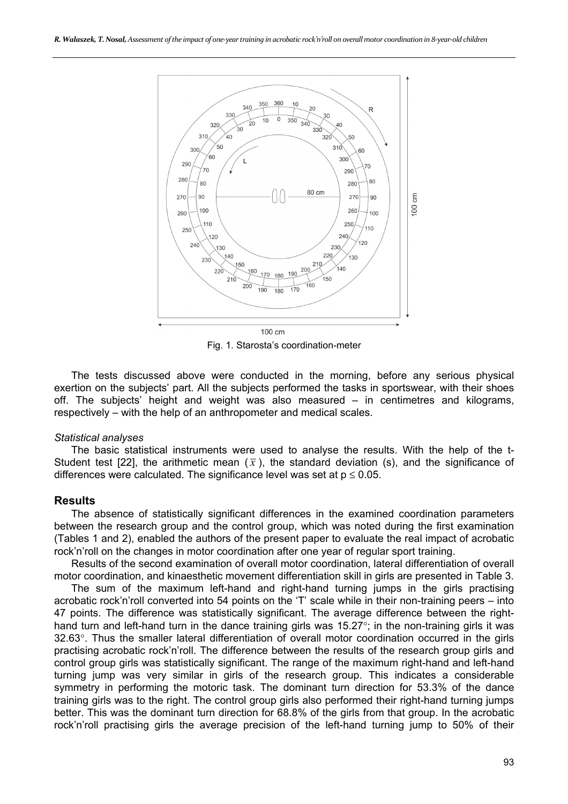

Fig. 1. Starosta's coordination-meter

The tests discussed above were conducted in the morning, before any serious physical exertion on the subjects' part. All the subjects performed the tasks in sportswear, with their shoes off. The subjects' height and weight was also measured – in centimetres and kilograms, respectively – with the help of an anthropometer and medical scales.

#### *Statistical analyses*

The basic statistical instruments were used to analyse the results. With the help of the t-Student test [22], the arithmetic mean  $(\bar{x})$ , the standard deviation (s), and the significance of differences were calculated. The significance level was set at  $p \le 0.05$ .

## **Results**

The absence of statistically significant differences in the examined coordination parameters between the research group and the control group, which was noted during the first examination (Tables 1 and 2), enabled the authors of the present paper to evaluate the real impact of acrobatic rock'n'roll on the changes in motor coordination after one year of regular sport training.

Results of the second examination of overall motor coordination, lateral differentiation of overall motor coordination, and kinaesthetic movement differentiation skill in girls are presented in Table 3.

The sum of the maximum left-hand and right-hand turning jumps in the girls practising acrobatic rock'n'roll converted into 54 points on the 'T' scale while in their non-training peers – into 47 points. The difference was statistically significant. The average difference between the righthand turn and left-hand turn in the dance training girls was  $15.27^{\circ}$ ; in the non-training girls it was 32.63°. Thus the smaller lateral differentiation of overall motor coordination occurred in the girls practising acrobatic rock'n'roll. The difference between the results of the research group girls and control group girls was statistically significant. The range of the maximum right-hand and left-hand turning jump was very similar in girls of the research group. This indicates a considerable symmetry in performing the motoric task. The dominant turn direction for 53.3% of the dance training girls was to the right. The control group girls also performed their right-hand turning jumps better. This was the dominant turn direction for 68.8% of the girls from that group. In the acrobatic rock'n'roll practising girls the average precision of the left-hand turning jump to 50% of their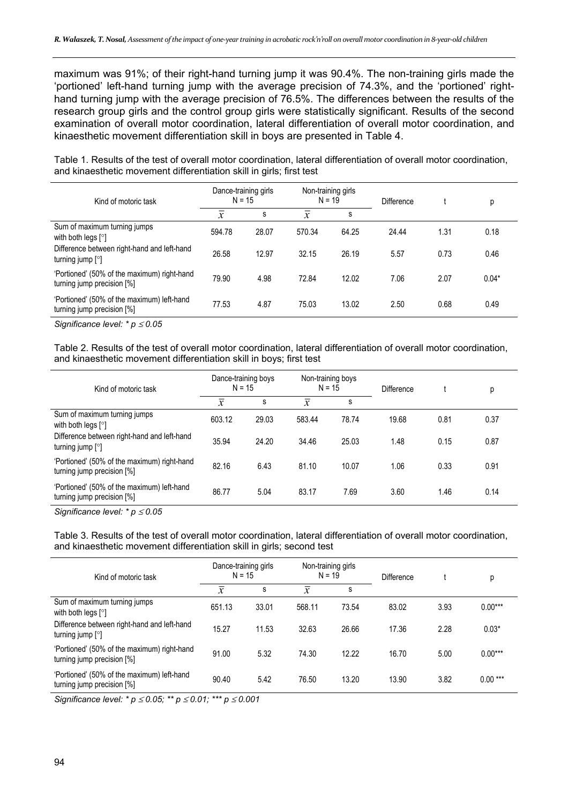maximum was 91%; of their right-hand turning jump it was 90.4%. The non-training girls made the 'portioned' left-hand turning jump with the average precision of 74.3%, and the 'portioned' righthand turning jump with the average precision of 76.5%. The differences between the results of the research group girls and the control group girls were statistically significant. Results of the second examination of overall motor coordination, lateral differentiation of overall motor coordination, and kinaesthetic movement differentiation skill in boys are presented in Table 4.

| Kind of motoric task                                                              | Dance-training girls<br>$N = 15$ |       | Non-training girls<br>$N = 19$ |       | Difference |      | р       |
|-----------------------------------------------------------------------------------|----------------------------------|-------|--------------------------------|-------|------------|------|---------|
|                                                                                   | $\mathcal{X}$                    | s     | $\boldsymbol{x}$               | s     |            |      |         |
| Sum of maximum turning jumps<br>with both legs $\lceil \circ \rceil$              | 594.78                           | 28.07 | 570.34                         | 64.25 | 24.44      | 1.31 | 0.18    |
| Difference between right-hand and left-hand<br>turning jump $\lceil \circ \rceil$ | 26.58                            | 12.97 | 32.15                          | 26.19 | 5.57       | 0.73 | 0.46    |
| 'Portioned' (50% of the maximum) right-hand<br>turning jump precision [%]         | 79.90                            | 4.98  | 72.84                          | 12.02 | 7.06       | 2.07 | $0.04*$ |
| 'Portioned' (50% of the maximum) left-hand<br>turning jump precision [%]          | 77.53                            | 4.87  | 75.03                          | 13.02 | 2.50       | 0.68 | 0.49    |

Table 1. Results of the test of overall motor coordination, lateral differentiation of overall motor coordination, and kinaesthetic movement differentiation skill in girls; first test

*Significance level: \* p*  $\leq 0.05$ 

Table 2. Results of the test of overall motor coordination, lateral differentiation of overall motor coordination, and kinaesthetic movement differentiation skill in boys; first test

| Kind of motoric task                                                      | Dance-training boys<br>$N = 15$ |       | Non-training boys<br>$N = 15$ |       | Difference |      | р    |
|---------------------------------------------------------------------------|---------------------------------|-------|-------------------------------|-------|------------|------|------|
|                                                                           | $\mathcal{X}$                   | s     | $\mathcal{X}$                 | S     |            |      |      |
| Sum of maximum turning jumps<br>with both legs $[°]$                      | 603.12                          | 29.03 | 583.44                        | 78.74 | 19.68      | 0.81 | 0.37 |
| Difference between right-hand and left-hand<br>turning jump $[°]$         | 35.94                           | 24.20 | 34.46                         | 25.03 | 1.48       | 0.15 | 0.87 |
| 'Portioned' (50% of the maximum) right-hand<br>turning jump precision [%] | 82.16                           | 6.43  | 81.10                         | 10.07 | 1.06       | 0.33 | 0.91 |
| 'Portioned' (50% of the maximum) left-hand<br>turning jump precision [%]  | 86.77                           | 5.04  | 83.17                         | 7.69  | 3.60       | 1.46 | 0.14 |

*Significance level:* <sup>\*</sup> *p* ≤ 0.05

Table 3. Results of the test of overall motor coordination, lateral differentiation of overall motor coordination, and kinaesthetic movement differentiation skill in girls; second test

| Kind of motoric task                                                              | Dance-training girls<br>$N = 15$ |       | Non-training girls<br>$N = 19$ |       | <b>Difference</b> |      | р         |
|-----------------------------------------------------------------------------------|----------------------------------|-------|--------------------------------|-------|-------------------|------|-----------|
|                                                                                   | $\overline{x}$                   | s     | $\boldsymbol{x}$               | s     |                   |      |           |
| Sum of maximum turning jumps<br>with both legs $[°]$                              | 651.13                           | 33.01 | 568.11                         | 73.54 | 83.02             | 3.93 | $0.00***$ |
| Difference between right-hand and left-hand<br>turning jump $\lceil \circ \rceil$ | 15.27                            | 11.53 | 32.63                          | 26.66 | 17.36             | 2.28 | $0.03*$   |
| 'Portioned' (50% of the maximum) right-hand<br>turning jump precision [%]         | 91.00                            | 5.32  | 74.30                          | 12.22 | 16.70             | 5.00 | $0.00***$ |
| 'Portioned' (50% of the maximum) left-hand<br>turning jump precision [%]          | 90.40                            | 5.42  | 76.50                          | 13.20 | 13.90             | 3.82 | $0.00***$ |

*Significance level: \* p* ≤ 0.05; *\*\* p* ≤ 0.01; *\*\*\* p* ≤ 0.001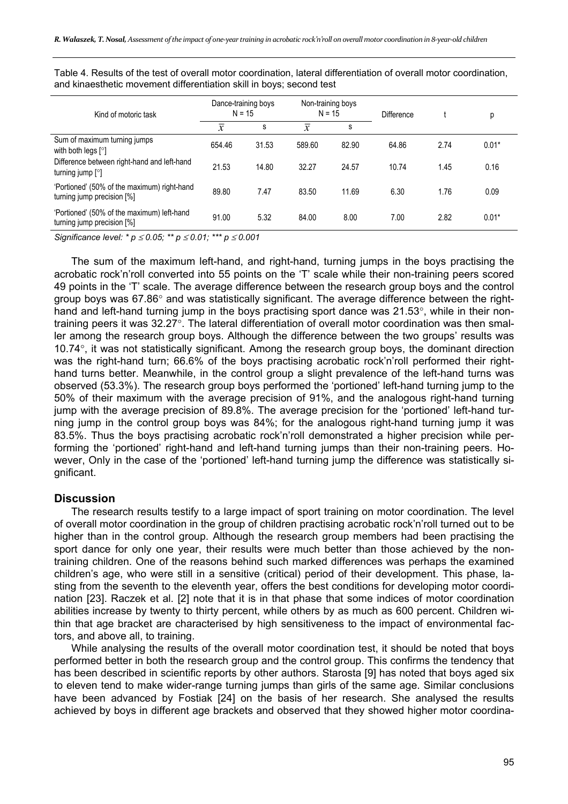| Kind of motoric task                                                      | Dance-training boys<br>$N = 15$ |       | Non-training boys<br>$N = 15$ |       | Difference |      | р       |
|---------------------------------------------------------------------------|---------------------------------|-------|-------------------------------|-------|------------|------|---------|
|                                                                           | $\bar{x}$                       | s     | $\mathcal{X}$                 | s     |            |      |         |
| Sum of maximum turning jumps<br>with both legs $\lceil \circ \rceil$      | 654.46                          | 31.53 | 589.60                        | 82.90 | 64.86      | 2.74 | $0.01*$ |
| Difference between right-hand and left-hand<br>turning jump $[°]$         | 21.53                           | 14.80 | 32.27                         | 24.57 | 10.74      | 1.45 | 0.16    |
| 'Portioned' (50% of the maximum) right-hand<br>turning jump precision [%] | 89.80                           | 7.47  | 83.50                         | 11.69 | 6.30       | 1.76 | 0.09    |
| 'Portioned' (50% of the maximum) left-hand<br>turning jump precision [%]  | 91.00                           | 5.32  | 84.00                         | 8.00  | 7.00       | 2.82 | $0.01*$ |

Table 4. Results of the test of overall motor coordination, lateral differentiation of overall motor coordination, and kinaesthetic movement differentiation skill in boys; second test

*Significance level: \* p* ≤ 0.05; *\*\* p* ≤ 0.01; *\*\*\* p* ≤ 0.001

The sum of the maximum left-hand, and right-hand, turning jumps in the boys practising the acrobatic rock'n'roll converted into 55 points on the 'T' scale while their non-training peers scored 49 points in the 'T' scale. The average difference between the research group boys and the control group boys was  $67.86^\circ$  and was statistically significant. The average difference between the righthand and left-hand turning jump in the boys practising sport dance was  $21.53^\circ$ , while in their nontraining peers it was 32.27°. The lateral differentiation of overall motor coordination was then smaller among the research group boys. Although the difference between the two groups' results was  $10.74^\circ$ , it was not statistically significant. Among the research group boys, the dominant direction was the right-hand turn; 66.6% of the boys practising acrobatic rock'n'roll performed their righthand turns better. Meanwhile, in the control group a slight prevalence of the left-hand turns was observed (53.3%). The research group boys performed the 'portioned' left-hand turning jump to the 50% of their maximum with the average precision of 91%, and the analogous right-hand turning jump with the average precision of 89.8%. The average precision for the 'portioned' left-hand turning jump in the control group boys was 84%; for the analogous right-hand turning jump it was 83.5%. Thus the boys practising acrobatic rock'n'roll demonstrated a higher precision while performing the 'portioned' right-hand and left-hand turning jumps than their non-training peers. However, Only in the case of the 'portioned' left-hand turning jump the difference was statistically significant.

## **Discussion**

The research results testify to a large impact of sport training on motor coordination. The level of overall motor coordination in the group of children practising acrobatic rock'n'roll turned out to be higher than in the control group. Although the research group members had been practising the sport dance for only one year, their results were much better than those achieved by the nontraining children. One of the reasons behind such marked differences was perhaps the examined children's age, who were still in a sensitive (critical) period of their development. This phase, lasting from the seventh to the eleventh year, offers the best conditions for developing motor coordination [23]. Raczek et al. [2] note that it is in that phase that some indices of motor coordination abilities increase by twenty to thirty percent, while others by as much as 600 percent. Children within that age bracket are characterised by high sensitiveness to the impact of environmental factors, and above all, to training.

While analysing the results of the overall motor coordination test, it should be noted that boys performed better in both the research group and the control group. This confirms the tendency that has been described in scientific reports by other authors. Starosta [9] has noted that boys aged six to eleven tend to make wider-range turning jumps than girls of the same age. Similar conclusions have been advanced by Fostiak [24] on the basis of her research. She analysed the results achieved by boys in different age brackets and observed that they showed higher motor coordina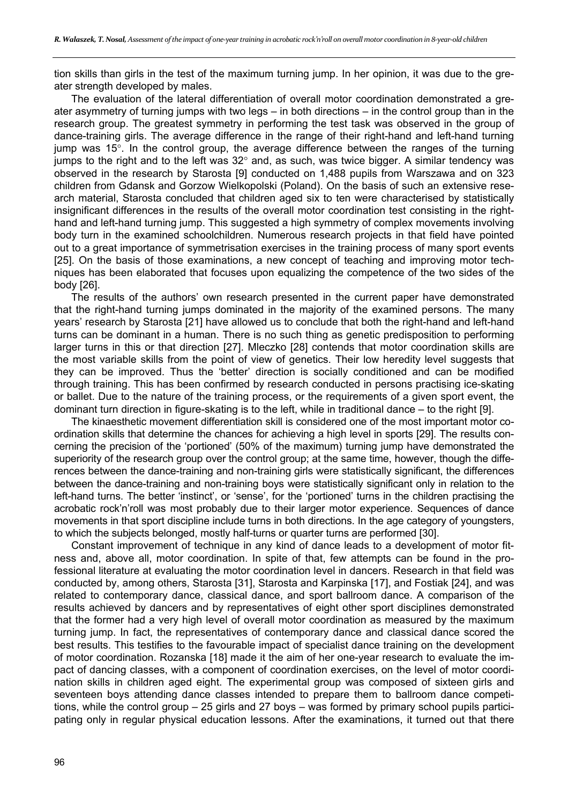tion skills than girls in the test of the maximum turning jump. In her opinion, it was due to the greater strength developed by males.

The evaluation of the lateral differentiation of overall motor coordination demonstrated a greater asymmetry of turning jumps with two legs – in both directions – in the control group than in the research group. The greatest symmetry in performing the test task was observed in the group of dance-training girls. The average difference in the range of their right-hand and left-hand turning jump was  $15^\circ$ . In the control group, the average difference between the ranges of the turning jumps to the right and to the left was  $32^{\circ}$  and, as such, was twice bigger. A similar tendency was observed in the research by Starosta [9] conducted on 1,488 pupils from Warszawa and on 323 children from Gdansk and Gorzow Wielkopolski (Poland). On the basis of such an extensive research material, Starosta concluded that children aged six to ten were characterised by statistically insignificant differences in the results of the overall motor coordination test consisting in the righthand and left-hand turning jump. This suggested a high symmetry of complex movements involving body turn in the examined schoolchildren. Numerous research projects in that field have pointed out to a great importance of symmetrisation exercises in the training process of many sport events [25]. On the basis of those examinations, a new concept of teaching and improving motor techniques has been elaborated that focuses upon equalizing the competence of the two sides of the body [26].

The results of the authors' own research presented in the current paper have demonstrated that the right-hand turning jumps dominated in the majority of the examined persons. The many years' research by Starosta [21] have allowed us to conclude that both the right-hand and left-hand turns can be dominant in a human. There is no such thing as genetic predisposition to performing larger turns in this or that direction [27]. Mleczko [28] contends that motor coordination skills are the most variable skills from the point of view of genetics. Their low heredity level suggests that they can be improved. Thus the 'better' direction is socially conditioned and can be modified through training. This has been confirmed by research conducted in persons practising ice-skating or ballet. Due to the nature of the training process, or the requirements of a given sport event, the dominant turn direction in figure-skating is to the left, while in traditional dance – to the right [9].

The kinaesthetic movement differentiation skill is considered one of the most important motor coordination skills that determine the chances for achieving a high level in sports [29]. The results concerning the precision of the 'portioned' (50% of the maximum) turning jump have demonstrated the superiority of the research group over the control group; at the same time, however, though the differences between the dance-training and non-training girls were statistically significant, the differences between the dance-training and non-training boys were statistically significant only in relation to the left-hand turns. The better 'instinct', or 'sense', for the 'portioned' turns in the children practising the acrobatic rock'n'roll was most probably due to their larger motor experience. Sequences of dance movements in that sport discipline include turns in both directions. In the age category of youngsters, to which the subjects belonged, mostly half-turns or quarter turns are performed [30].

Constant improvement of technique in any kind of dance leads to a development of motor fitness and, above all, motor coordination. In spite of that, few attempts can be found in the professional literature at evaluating the motor coordination level in dancers. Research in that field was conducted by, among others, Starosta [31], Starosta and Karpinska [17], and Fostiak [24], and was related to contemporary dance, classical dance, and sport ballroom dance. A comparison of the results achieved by dancers and by representatives of eight other sport disciplines demonstrated that the former had a very high level of overall motor coordination as measured by the maximum turning jump. In fact, the representatives of contemporary dance and classical dance scored the best results. This testifies to the favourable impact of specialist dance training on the development of motor coordination. Rozanska [18] made it the aim of her one-year research to evaluate the impact of dancing classes, with a component of coordination exercises, on the level of motor coordination skills in children aged eight. The experimental group was composed of sixteen girls and seventeen boys attending dance classes intended to prepare them to ballroom dance competitions, while the control group – 25 girls and 27 boys – was formed by primary school pupils participating only in regular physical education lessons. After the examinations, it turned out that there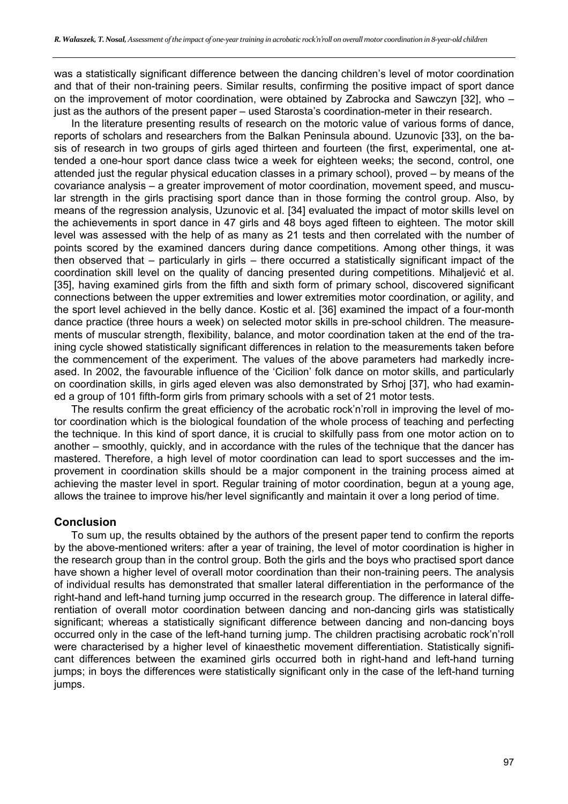was a statistically significant difference between the dancing children's level of motor coordination and that of their non-training peers. Similar results, confirming the positive impact of sport dance on the improvement of motor coordination, were obtained by Zabrocka and Sawczyn [32], who – just as the authors of the present paper – used Starosta's coordination-meter in their research.

In the literature presenting results of research on the motoric value of various forms of dance, reports of scholars and researchers from the Balkan Peninsula abound. Uzunovic [33], on the basis of research in two groups of girls aged thirteen and fourteen (the first, experimental, one attended a one-hour sport dance class twice a week for eighteen weeks; the second, control, one attended just the regular physical education classes in a primary school), proved – by means of the covariance analysis – a greater improvement of motor coordination, movement speed, and muscular strength in the girls practising sport dance than in those forming the control group. Also, by means of the regression analysis, Uzunovic et al. [34] evaluated the impact of motor skills level on the achievements in sport dance in 47 girls and 48 boys aged fifteen to eighteen. The motor skill level was assessed with the help of as many as 21 tests and then correlated with the number of points scored by the examined dancers during dance competitions. Among other things, it was then observed that – particularly in girls – there occurred a statistically significant impact of the coordination skill level on the quality of dancing presented during competitions. Mihaljević et al. [35], having examined girls from the fifth and sixth form of primary school, discovered significant connections between the upper extremities and lower extremities motor coordination, or agility, and the sport level achieved in the belly dance. Kostic et al. [36] examined the impact of a four-month dance practice (three hours a week) on selected motor skills in pre-school children. The measurements of muscular strength, flexibility, balance, and motor coordination taken at the end of the training cycle showed statistically significant differences in relation to the measurements taken before the commencement of the experiment. The values of the above parameters had markedly increased. In 2002, the favourable influence of the 'Cicilion' folk dance on motor skills, and particularly on coordination skills, in girls aged eleven was also demonstrated by Srhoj [37], who had examined a group of 101 fifth-form girls from primary schools with a set of 21 motor tests.

The results confirm the great efficiency of the acrobatic rock'n'roll in improving the level of motor coordination which is the biological foundation of the whole process of teaching and perfecting the technique. In this kind of sport dance, it is crucial to skilfully pass from one motor action on to another – smoothly, quickly, and in accordance with the rules of the technique that the dancer has mastered. Therefore, a high level of motor coordination can lead to sport successes and the improvement in coordination skills should be a major component in the training process aimed at achieving the master level in sport. Regular training of motor coordination, begun at a young age, allows the trainee to improve his/her level significantly and maintain it over a long period of time.

## **Conclusion**

To sum up, the results obtained by the authors of the present paper tend to confirm the reports by the above-mentioned writers: after a year of training, the level of motor coordination is higher in the research group than in the control group. Both the girls and the boys who practised sport dance have shown a higher level of overall motor coordination than their non-training peers. The analysis of individual results has demonstrated that smaller lateral differentiation in the performance of the right-hand and left-hand turning jump occurred in the research group. The difference in lateral differentiation of overall motor coordination between dancing and non-dancing girls was statistically significant; whereas a statistically significant difference between dancing and non-dancing boys occurred only in the case of the left-hand turning jump. The children practising acrobatic rock'n'roll were characterised by a higher level of kinaesthetic movement differentiation. Statistically significant differences between the examined girls occurred both in right-hand and left-hand turning jumps; in boys the differences were statistically significant only in the case of the left-hand turning jumps.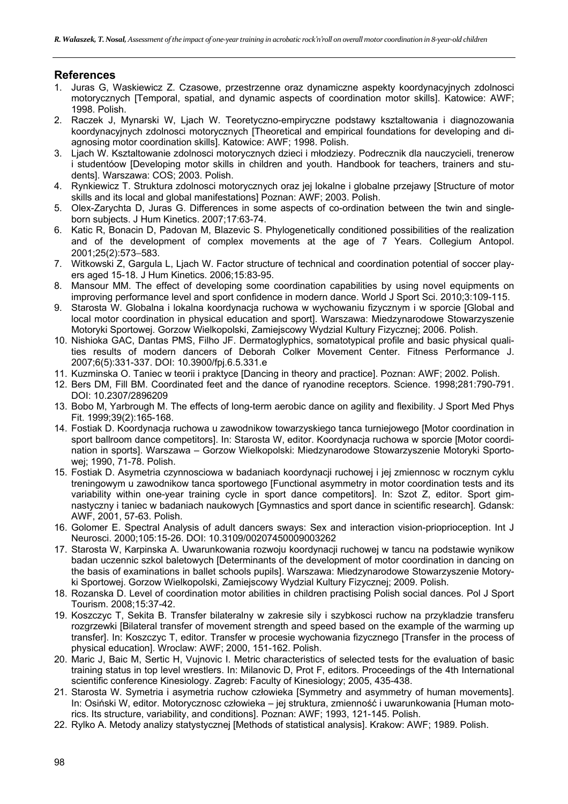## **References**

- 1. Juras G, Waskiewicz Z. Czasowe, przestrzenne oraz dynamiczne aspekty koordynacyjnych zdolnosci motorycznych [Temporal, spatial, and dynamic aspects of coordination motor skills]. Katowice: AWF; 1998. Polish.
- 2. Raczek J, Mynarski W, Ljach W. Teoretyczno-empiryczne podstawy ksztaltowania i diagnozowania koordynacyjnych zdolnosci motorycznych [Theoretical and empirical foundations for developing and diagnosing motor coordination skills]. Katowice: AWF; 1998. Polish.
- 3. Ljach W. Ksztaltowanie zdolnosci motorycznych dzieci i młodziezy. Podrecznik dla nauczycieli, trenerow i studentóow [Developing motor skills in children and youth. Handbook for teachers, trainers and students]. Warszawa: COS; 2003. Polish.
- 4. Rynkiewicz T. Struktura zdolnosci motorycznych oraz jej lokalne i globalne przejawy [Structure of motor skills and its local and global manifestations] Poznan: AWF; 2003. Polish.
- 5. Olex-Zarychta D, Juras G. Differences in some aspects of co-ordination between the twin and singleborn subjects. J Hum Kinetics. 2007;17:63-74.
- 6. Katic R, Bonacin D, Padovan M, Blazevic S. Phylogenetically conditioned possibilities of the realization and of the development of complex movements at the age of 7 Years. Collegium Antopol. 2001;25(2):573-583.
- 7. Witkowski Z, Gargula L, Ljach W. Factor structure of technical and coordination potential of soccer players aged 15-18. J Hum Kinetics. 2006;15:83-95.
- 8. Mansour MM. The effect of developing some coordination capabilities by using novel equipments on improving performance level and sport confidence in modern dance. World J Sport Sci. 2010;3:109-115.
- 9. Starosta W. Globalna i lokalna koordynacja ruchowa w wychowaniu fizycznym i w sporcie [Global and local motor coordination in physical education and sport]. Warszawa: Miedzynarodowe Stowarzyszenie Motoryki Sportowej. Gorzow Wielkopolski, Zamiejscowy Wydzial Kultury Fizycznej; 2006. Polish.
- 10. Nishioka GAC, Dantas PMS, Filho JF. Dermatoglyphics, somatotypical profile and basic physical qualities results of modern dancers of Deborah Colker Movement Center. Fitness Performance J. 2007;6(5):331-337. DOI: 10.3900/fpj.6.5.331.e
- 11. Kuzminska O. Taniec w teorii i praktyce [Dancing in theory and practice]. Poznan: AWF; 2002. Polish.
- 12. Bers DM, Fill BM. Coordinated feet and the dance of ryanodine receptors. Science. 1998;281:790-791. DOI: 10.2307/2896209
- 13. Bobo M, Yarbrough M. The effects of long-term aerobic dance on agility and flexibility. J Sport Med Phys Fit. 1999;39(2):165-168.
- 14. Fostiak D. Koordynacja ruchowa u zawodnikow towarzyskiego tanca turniejowego [Motor coordination in sport ballroom dance competitors]. In: Starosta W, editor. Koordynacja ruchowa w sporcie [Motor coordination in sports]. Warszawa – Gorzow Wielkopolski: Miedzynarodowe Stowarzyszenie Motoryki Sportowej; 1990, 71-78. Polish.
- 15. Fostiak D. Asymetria czynnosciowa w badaniach koordynacji ruchowej i jej zmiennosc w rocznym cyklu treningowym u zawodnikow tanca sportowego [Functional asymmetry in motor coordination tests and its variability within one-year training cycle in sport dance competitors]. In: Szot Z, editor. Sport gimnastyczny i taniec w badaniach naukowych [Gymnastics and sport dance in scientific research]. Gdansk: AWF, 2001, 57-63. Polish.
- 16. Golomer E. Spectral Analysis of adult dancers sways: Sex and interaction vision-prioprioception. Int J Neurosci. 2000;105:15-26. DOI: 10.3109/00207450009003262
- 17. Starosta W, Karpinska A. Uwarunkowania rozwoju koordynacji ruchowej w tancu na podstawie wynikow badan uczennic szkol baletowych [Determinants of the development of motor coordination in dancing on the basis of examinations in ballet schools pupils]. Warszawa: Miedzynarodowe Stowarzyszenie Motoryki Sportowej. Gorzow Wielkopolski, Zamiejscowy Wydzial Kultury Fizycznej; 2009. Polish.
- 18. Rozanska D. Level of coordination motor abilities in children practising Polish social dances. Pol J Sport Tourism. 2008;15:37-42.
- 19. Koszczyc T, Sekita B. Transfer bilateralny w zakresie sily i szybkosci ruchow na przykladzie transferu rozgrzewki [Bilateral transfer of movement strength and speed based on the example of the warming up transfer]. In: Koszczyc T, editor. Transfer w procesie wychowania fizycznego [Transfer in the process of physical education]. Wroclaw: AWF; 2000, 151-162. Polish.
- 20. Maric J, Baic M, Sertic H, Vujnovic I. Metric characteristics of selected tests for the evaluation of basic training status in top level wrestlers. In: Milanovic D, Prot F, editors. Proceedings of the 4th International scientific conference Kinesiology. Zagreb: Faculty of Kinesiology; 2005, 435-438.
- 21. Starosta W. Symetria i asymetria ruchow człowieka [Symmetry and asymmetry of human movements]. In: Osiński W, editor. Motorycznosc człowieka – jej struktura, zmienność i uwarunkowania [Human motorics. Its structure, variability, and conditions]. Poznan: AWF; 1993, 121-145. Polish.
- 22. Rylko A. Metody analizy statystycznej [Methods of statistical analysis]. Krakow: AWF; 1989. Polish.